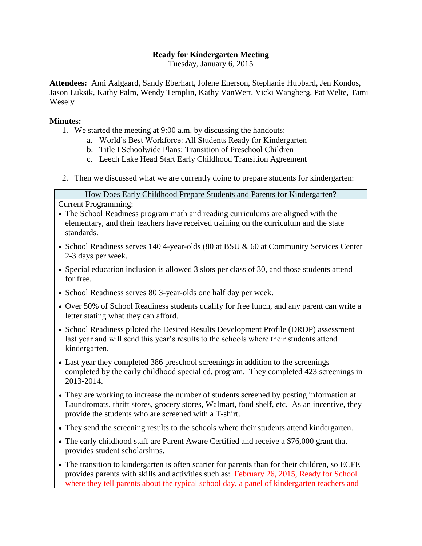## **Ready for Kindergarten Meeting**

Tuesday, January 6, 2015

**Attendees:** Ami Aalgaard, Sandy Eberhart, Jolene Enerson, Stephanie Hubbard, Jen Kondos, Jason Luksik, Kathy Palm, Wendy Templin, Kathy VanWert, Vicki Wangberg, Pat Welte, Tami Wesely

## **Minutes:**

- 1. We started the meeting at 9:00 a.m. by discussing the handouts:
	- a. World's Best Workforce: All Students Ready for Kindergarten
	- b. Title I Schoolwide Plans: Transition of Preschool Children
	- c. Leech Lake Head Start Early Childhood Transition Agreement
- 2. Then we discussed what we are currently doing to prepare students for kindergarten:

How Does Early Childhood Prepare Students and Parents for Kindergarten?

Current Programming:

- The School Readiness program math and reading curriculums are aligned with the elementary, and their teachers have received training on the curriculum and the state standards.
- School Readiness serves 140 4-year-olds (80 at BSU & 60 at Community Services Center 2-3 days per week.
- Special education inclusion is allowed 3 slots per class of 30, and those students attend for free.
- School Readiness serves 80 3-year-olds one half day per week.
- Over 50% of School Readiness students qualify for free lunch, and any parent can write a letter stating what they can afford.
- School Readiness piloted the Desired Results Development Profile (DRDP) assessment last year and will send this year's results to the schools where their students attend kindergarten.
- Last year they completed 386 preschool screenings in addition to the screenings completed by the early childhood special ed. program. They completed 423 screenings in 2013-2014.
- They are working to increase the number of students screened by posting information at Laundromats, thrift stores, grocery stores, Walmart, food shelf, etc. As an incentive, they provide the students who are screened with a T-shirt.
- They send the screening results to the schools where their students attend kindergarten.
- The early childhood staff are Parent Aware Certified and receive a \$76,000 grant that provides student scholarships.
- The transition to kindergarten is often scarier for parents than for their children, so ECFE provides parents with skills and activities such as: February 26, 2015, Ready for School where they tell parents about the typical school day, a panel of kindergarten teachers and